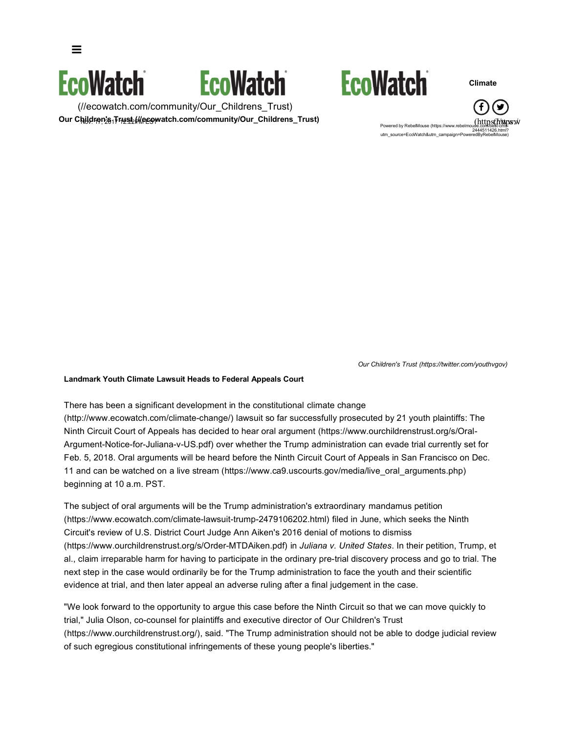



(//ecowatch.com/community/Our\_Childrens\_Trust) Our Children<u>'s 行以转化ec</u>owatch.com/community/Our\_Childrens\_Trust)





**Climate**

 $(https(f/tkpysw)$ Powered by RebelMouse (https://www.rebelmouse 2444511426.html? utm\_source=EcoWatch&utm\_campaign=PoweredByRebelMouse)

*Our Children's Trust (https://twitter.com/youthvgov)*

#### **Landmark Youth Climate Lawsuit Heads to Federal Appeals Court**

There has been a significant development in the constitutional climate change (http://www.ecowatch.com/climate-change/) lawsuit so far successfully prosecuted by 21 youth plaintiffs: The Ninth Circuit Court of Appeals has decided to hear oral argument (https://www.ourchildrenstrust.org/s/Oral-Argument-Notice-for-Juliana-v-US.pdf) over whether the Trump administration can evade trial currently set for Feb. 5, 2018. Oral arguments will be heard before the Ninth Circuit Court of Appeals in San Francisco on Dec. 11 and can be watched on a live stream (https://www.ca9.uscourts.gov/media/live\_oral\_arguments.php) beginning at 10 a.m. PST.

The subject of oral arguments will be the Trump administration's extraordinary mandamus petition (https://www.ecowatch.com/climate-lawsuit-trump-2479106202.html) filed in June, which seeks the Ninth Circuit's review of U.S. District Court Judge Ann Aiken's 2016 denial of motions to dismiss (https://www.ourchildrenstrust.org/s/Order-MTDAiken.pdf) in *Juliana v. United States*. In their petition, Trump, et al., claim irreparable harm for having to participate in the ordinary pre-trial discovery process and go to trial. The next step in the case would ordinarily be for the Trump administration to face the youth and their scientific evidence at trial, and then later appeal an adverse ruling after a final judgement in the case.

"We look forward to the opportunity to argue this case before the Ninth Circuit so that we can move quickly to trial," Julia Olson, co-counsel for plaintiffs and executive director of Our Children's Trust (https://www.ourchildrenstrust.org/), said. "The Trump administration should not be able to dodge judicial review of such egregious constitutional infringements of these young people's liberties."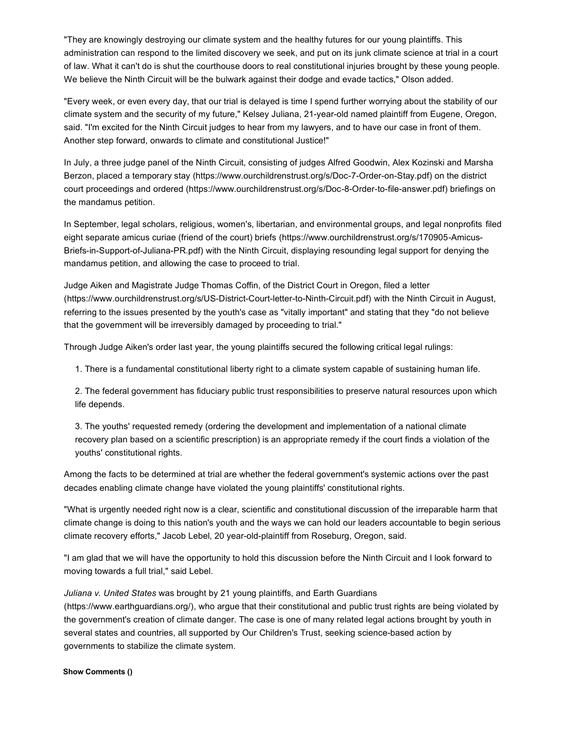"They are knowingly destroying our climate system and the healthy futures for our young plaintiffs. This administration can respond to the limited discovery we seek, and put on its junk climate science at trial in a court of law. What it can't do is shut the courthouse doors to real constitutional injuries brought by these young people. We believe the Ninth Circuit will be the bulwark against their dodge and evade tactics," Olson added.

"Every week, or even every day, that our trial is delayed is time I spend further worrying about the stability of our climate system and the security of my future," Kelsey Juliana, 21-year-old named plaintiff from Eugene, Oregon, said. "I'm excited for the Ninth Circuit judges to hear from my lawyers, and to have our case in front of them. Another step forward, onwards to climate and constitutional Justice!"

In July, a three judge panel of the Ninth Circuit, consisting of judges Alfred Goodwin, Alex Kozinski and Marsha Berzon, placed a temporary stay (https://www.ourchildrenstrust.org/s/Doc-7-Order-on-Stay.pdf) on the district court proceedings and ordered (https://www.ourchildrenstrust.org/s/Doc-8-Order-to-file-answer.pdf) briefings on the mandamus petition.

In September, legal scholars, religious, women's, libertarian, and environmental groups, and legal nonprofits filed eight separate amicus curiae (friend of the court) briefs (https://www.ourchildrenstrust.org/s/170905-Amicus-Briefs-in-Support-of-Juliana-PR.pdf) with the Ninth Circuit, displaying resounding legal support for denying the mandamus petition, and allowing the case to proceed to trial.

Judge Aiken and Magistrate Judge Thomas Coffin, of the District Court in Oregon, filed a letter (https://www.ourchildrenstrust.org/s/US-District-Court-letter-to-Ninth-Circuit.pdf) with the Ninth Circuit in August, referring to the issues presented by the youth's case as "vitally important" and stating that they "do not believe that the government will be irreversibly damaged by proceeding to trial."

Through Judge Aiken's order last year, the young plaintiffs secured the following critical legal rulings:

1. There is a fundamental constitutional liberty right to a climate system capable of sustaining human life.

2. The federal government has fiduciary public trust responsibilities to preserve natural resources upon which life depends.

3. The youths' requested remedy (ordering the development and implementation of a national climate recovery plan based on a scientific prescription) is an appropriate remedy if the court finds a violation of the youths' constitutional rights.

Among the facts to be determined at trial are whether the federal government's systemic actions over the past decades enabling climate change have violated the young plaintiffs' constitutional rights.

"What is urgently needed right now is a clear, scientific and constitutional discussion of the irreparable harm that climate change is doing to this nation's youth and the ways we can hold our leaders accountable to begin serious climate recovery efforts," Jacob Lebel, 20 year-old-plaintiff from Roseburg, Oregon, said.

"I am glad that we will have the opportunity to hold this discussion before the Ninth Circuit and I look forward to moving towards a full trial," said Lebel.

*Juliana v. United States* was brought by 21 young plaintiffs, and Earth Guardians

(https://www.earthguardians.org/), who argue that their constitutional and public trust rights are being violated by the government's creation of climate danger. The case is one of many related legal actions brought by youth in several states and countries, all supported by Our Children's Trust, seeking science-based action by governments to stabilize the climate system.

### **Show Comments ()**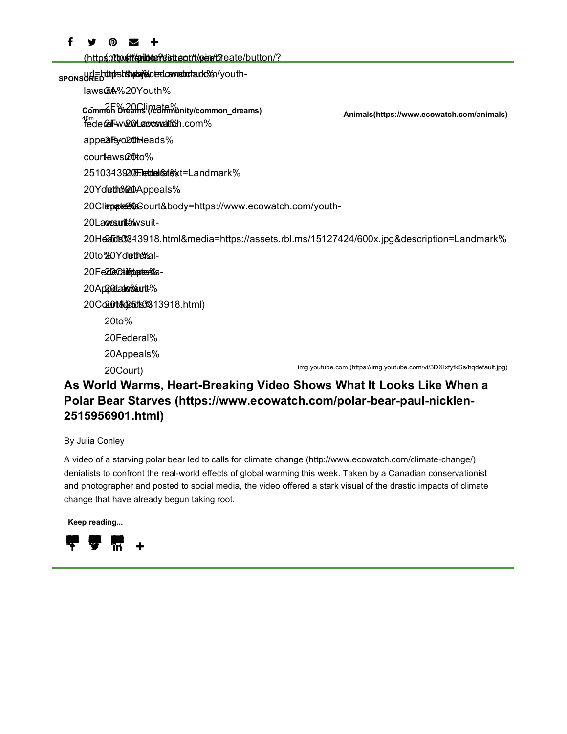#### fУ ၜ  $\overline{\mathbf{v}}$ ╋

(httpshiltpstillepilbleneistteotrikpere/t2reate/button/?

sponsURED<sup>uttpshtttpdag@ctsdcawattotado%n/youth-</sup>

laws**GiA**%20Youth%

- 2F% 20Climate% **Common Dreams (/community/common\_dreams)** <sub>40m</sub><br>†eder**2rFww2@Lecocswatt%h.com%** 

appe**2lFs<sub>/</sub>o2tth**leads%

cour**t**laws@ito%

25103439**2108Fletdrelr&atle**%xt=Landmark%

20Ydette 20Appeals%

20Climpate2802Sourt&body=https://www.ecowatch.com/youth-

20La**ovsuit<del>å</del>/**wsuit-

20Headts%43918.html&media=https://assets.rbl.ms/15127424/600x.jpg&description=Landmark%

20to%20Yof**ethe**%al-

20 Fe**2 le Califiparie**e 9/6s-

20Appoelaakswoutte%

20Co2**.0t&2a5d1s0%** 13918.html)

20to%

20Federal%

20Appeals%

20Court)

img.youtube.com (https://img.youtube.com/vi/3DXIxfytkSs/hqdefault.jpg)

## **As World Warms, Heart-Breaking Video Shows What It Looks Like When a Polar Bear Starves (https://www.ecowatch.com/polar-bear-paul-nicklen-2515956901.html)**

By Julia Conley

A video of a starving polar bear led to calls for climate change (http://www.ecowatch.com/climate-change/) denialists to confront the real-world effects of global warming this week. Taken by a Canadian conservationist and photographer and posted to social media, the video offered a stark visual of the drastic impacts of climate change that have already begun taking root.

**Keep reading...**



**Animals(https://www.ecowatch.com/animals)**